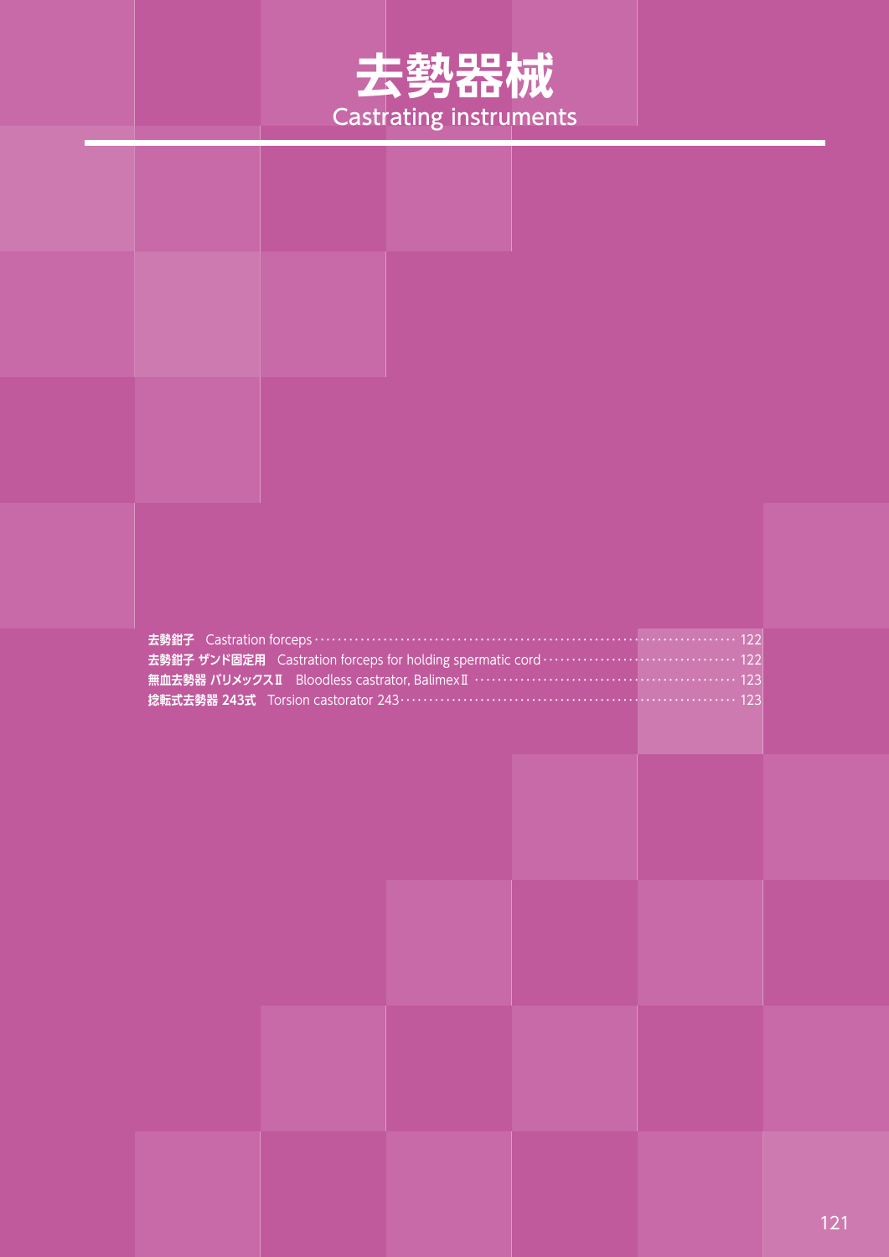

| 去勢鉗子 Castration forceps ……………………………………………………………………………… 122<br>去勢鉗子 ザンド固定用 Castration forceps for holding spermatic cord ·································· 122<br><b>捻転式去勢器 243式</b> Torsion castorator 243…………………………………………………………… 123 |  |  |  |  |  |
|----------------------------------------------------------------------------------------------------------------------------------------------------------------------------------------------------------------------------------------|--|--|--|--|--|
|                                                                                                                                                                                                                                        |  |  |  |  |  |
|                                                                                                                                                                                                                                        |  |  |  |  |  |
|                                                                                                                                                                                                                                        |  |  |  |  |  |
|                                                                                                                                                                                                                                        |  |  |  |  |  |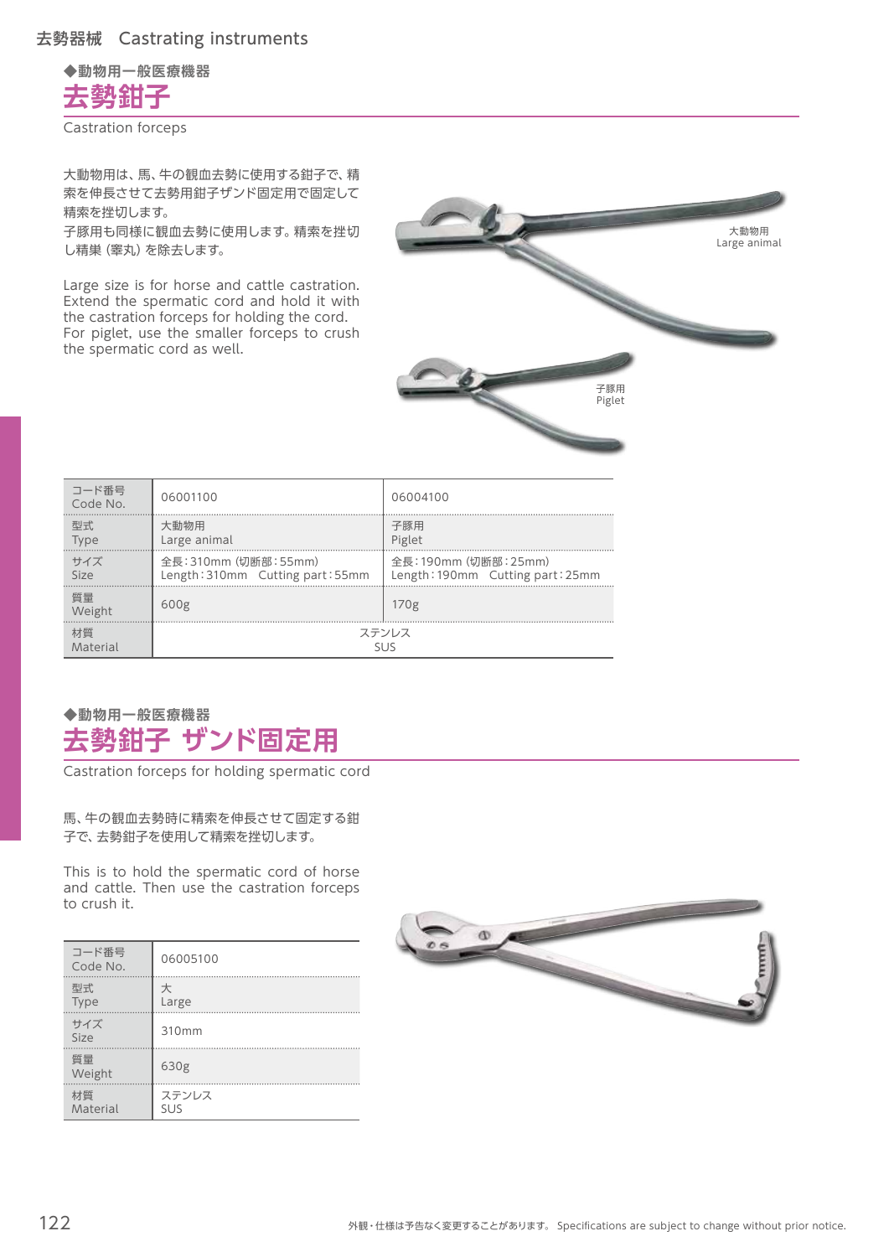**◆動物用一般医療機器**

**去勢鉗子**

Castration forceps

大動物用は、馬、牛の観血去勢に使用する鉗子で、精 索を伸長させて去勢用鉗子ザンド固定用で固定して 精索を挫切します。

子豚用も同様に観血去勢に使用します。精索を挫切 し精巣(睾丸)を除去します。

Large size is for horse and cattle castration. Extend the spermatic cord and hold it with the castration forceps for holding the cord. For piglet, use the smaller forceps to crush the spermatic cord as well.



| コード番号<br>Code No. | 06001100                         | 06004100                         |
|-------------------|----------------------------------|----------------------------------|
| 型式                | 大動物用                             | 子豚用                              |
| Type              | Large animal                     | Piglet                           |
| サイズ               | 全長: 310mm (切断部: 55mm)            | 全長:190mm (切断部: 25mm)             |
| Size              | Length: 310mm Cutting part: 55mm | Length: 190mm Cutting part: 25mm |
| 暂量<br>Weight      | 600 <sub>g</sub>                 | 170 <sub>g</sub>                 |
| 材質                | ステンレス                            |                                  |
| Material          | SI IS                            |                                  |

## **◆動物用一般医療機器 去勢鉗子 ザンド固定用**

Castration forceps for holding spermatic cord

馬、牛の観血去勢時に精索を伸長させて固定する鉗 子で、去勢鉗子を使用して精索を挫切します。

This is to hold the spermatic cord of horse and cattle. Then use the castration forceps to crush it.

| コード番号<br>Code No. | 06005100            |
|-------------------|---------------------|
| 型式<br>Type        | 大<br>Large          |
| サイズ<br>Size       | 310mm               |
| 質量<br>Weight      | 630g                |
| 材質<br>Material    | ステンレス<br><b>SUS</b> |